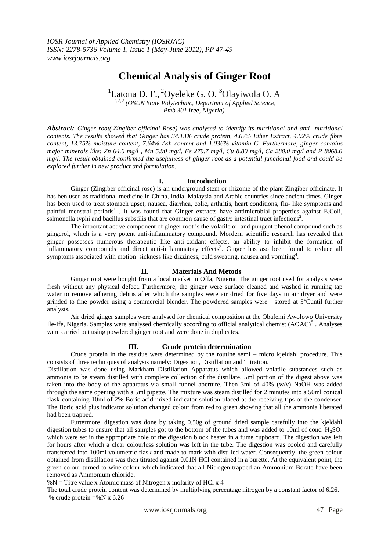# **Chemical Analysis of Ginger Root**

<sup>1</sup>Latona D. F., <sup>2</sup>Oyeleke G. O. <sup>3</sup>Olayiwola O. A.

*1, 2, 3 (OSUN State Polytechnic, Departmnt of Applied Science, Pmb 301 Iree, Nigeria).*

*Abstract: Ginger root( Zingiber officinal Rose) was analysed to identify its nutritional and anti- nutritional contents. The results showed that Ginger has 34.13% crude protein, 4.07% Ether Extract, 4.02% crude fibre content, 13.75% moisture content, 7.64% Ash content and 1.036% vitamin C. Furthermore, ginger contains major minerals like: Zn 64.0 mg/l , Mn 5.90 mg/l, Fe 279.7 mg/l, Cu 8.80 mg/l, Ca 280.0 mg/l and P 8068.0 mg/l. The result obtained confirmed the usefulness of ginger root as a potential functional food and could be explored further in new product and formulation.*

# **I. Introduction**

Ginger (Zingiber officinal rose) is an underground stem or rhizome of the plant Zingiber officinate. It has ben used as traditional medicine in China, India, Malaysia and Arabic countries since ancient times. Ginger has been used to treat stomach upset, nausea, diarrhea, colic, arthritis, heart conditions, flu- like symptoms and painful menstral periods<sup>1</sup>. It was found that Ginger extracts have antimicrobial properties against E.Coli, sslmonella typhi and bacillus substilis that are common cause of gastro intestinal tract infections<sup>2</sup>.

The important active component of ginger root is the volatile oil and pungent phenol compound such as gingerol, which is a very potent anti-inflammatory compound. Mordern scientific research has revealed that ginger possesses numerous therapeutic like anti-oxidant effects, an ability to inhibit the formation of inflammatory compounds and direct anti-inflammatory effects<sup>3</sup>. Ginger has aso been found to reduce all symptoms associated with motion sickness like dizziness, cold sweating, nausea and vomiting $4$ .

# **II. Materials And Metods**

Ginger root were bought from a local market in Offa, Nigeria. The ginger root used for analysis were fresh without any physical defect. Furthermore, the ginger were surface cleaned and washed in running tap water to remove adhering debris after which the samples were air dried for five days in air dryer and were grinded to fine powder using a commercial blender. The powdered samples were stored at  $5^{\circ}$ Cuntil further analysis.

Air dried ginger samples were analysed for chemical composition at the Obafemi Awolowo University Ile-Ife, Nigeria. Samples were analysed chemically according to official analytical chemist (AOAC)<sup>5</sup>. Analyses were carried out using powdered ginger root and were done in duplicates.

# **III. Crude protein determination**

Crude protein in the residue were determined by the routine semi – micro kjeldahl procedure. This consists of three techniques of analysis namely: Digestion, Distillation and Titration.

Distillation was done using Markham Distillation Apparatus which allowed volatile substances such as ammonia to be steam distilled with complete collection of the distillate. 5ml portion of the digest above was taken into the body of the apparatus via small funnel aperture. Then 3ml of 40% (w/v) NaOH was added through the same opening with a 5ml pipette. The mixture was steam distilled for 2 minutes into a 50ml conical flask containing 10ml of 2% Boric acid mixed indicator solution placed at the receiving tips of the condenser. The Boric acid plus indicator solution changed colour from red to green showing that all the ammonia liberated had been trapped.

Furtermore, digestion was done by taking 0.50g of ground dried sample carefully into the kjeldahl digestion tubes to ensure that all samples got to the bottom of the tubes and was added to 10ml of conc.  $H_2SO_4$ which were set in the appropriate hole of the digestion block heater in a fume cupboard. The digestion was left for hours after which a clear colourless solution was left in the tube. The digestion was cooled and carefully transferred into 100ml volumetric flask and made to mark with distilled water. Consequently, the green colour obtained from distillation was then titrated against 0.01N HCl contained in a burette. At the equivalent point, the green colour turned to wine colour which indicated that all Nitrogen trapped an Ammonium Borate have been removed as Ammonium chloride.

 $%N =$  Titre value x Atomic mass of Nitrogen x molarity of HCl x 4

The total crude protein content was determined by multiplying percentage nitrogen by a constant factor of 6.26. % crude protein  $=$ %N x 6.26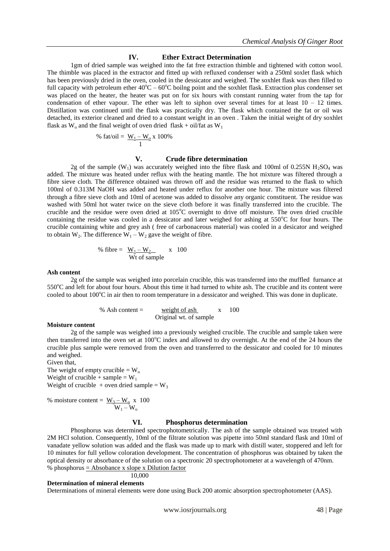# **IV. Ether Extract Determination**

1gm of dried sample was weighed into the fat free extraction thimble and tightened with cotton wool. The thimble was placed in the extractor and fitted up with refluxed condenser with a 250ml soxlet flask which has been previously dried in the oven, cooled in the dessicator and weighed. The soxhlet flask was then filled to full capacity with petroleum ether  $40^{\circ}C - 60^{\circ}C$  boilng point and the soxhlet flask. Extraction plus condenser set was placed on the heater, the heater was put on for six hours with constant running water from the tap for condensation of ether vapour. The ether was left to siphon over several times for at least  $10 - 12$  times. Distillation was continued until the flask was practically dry. The flask which contained the fat or oil was detached, its exterior cleaned and dried to a constant weight in an oven . Taken the initial weight of dry soxhlet flask as  $W_0$  and the final weight of oven dried flask + oil/fat as  $W_1$ 

% fat/oil = 
$$
\frac{W_1 - W_0}{1} \times 100\%
$$

## **V. Crude fibre determination**

2g of the sample (W<sub>1</sub>) was accurately weighed into the fibre flask and 100ml of 0.255N H<sub>2</sub>SO<sub>4</sub> was added. The mixture was heated under reflux with the heating mantle. The hot mixture was filtered through a fibre sieve cloth. The difference obtained was thrown off and the residue was returned to the flask to which 100ml of 0.313M NaOH was added and heated under reflux for another one hour. The mixture was filtered through a fibre sieve cloth and 10ml of acetone was added to dissolve any organic constituent. The residue was washed with 50ml hot water twice on the sieve cloth before it was finally transferred into the crucible. The crucible and the residue were oven dried at  $105^{\circ}$ C overnight to drive off moisture. The oven dried crucible containing the residue was cooled in a dessicator and later weighed for ashing at  $550^{\circ}$ C for four hours. The crucible containing white and grey ash ( free of carbonaceous material) was cooled in a desicator and weighed to obtain W<sub>2</sub>. The difference  $W_1 - W_2$  gave the weight of fibre.

% fibre = 
$$
\frac{W_1 - W_2}{W t}
$$
 of sample

#### **Ash content**

2g of the sample was weighed into porcelain crucible, this was transferred into the muffled furnance at  $550^{\circ}$ C and left for about four hours. About this time it had turned to white ash. The crucible and its content were cooled to about  $100^{\circ}$ C in air then to room temperature in a dessicator and weighed. This was done in duplicate.

> % Ash content =  $\frac{\text{weight of ash}}{\text{weight of a}}$  x 100 Original wt. of sample

#### **Moisture content**

2g of the sample was weighed into a previously weighed crucible. The crucible and sample taken were then transferred into the oven set at  $100^{\circ}$ C index and allowed to dry overnight. At the end of the 24 hours the crucible plus sample were removed from the oven and transferred to the dessicator and cooled for 10 minutes and weighed.

## Given that,

The weight of empty crucible  $= W_0$ Weight of crucible + sample =  $W_1$ Weight of crucible + oven dried sample =  $W_3$ 

% moisture content = 
$$
\frac{W_3 - W_0}{W_1 - W_0}
$$
 x 100

### **VI. Phosphorus determination**

Phosphorus was determined spectrophotometrically. The ash of the sample obtained was treated with 2M HCl solution. Consequently, 10ml of the filtrate solution was pipette into 50ml standard flask and 10ml of vanadate yellow solution was added and the flask was made up to mark with distill water, stoppered and left for 10 minutes for full yellow coloration development. The concentration of phosphorus was obtained by taken the optical density or absorbance of the solution on a spectronic 20 spectrophotometer at a wavelength of 470nm. % phosphorus  $=$  Absobance x slope x Dilution factor

$$
10,\!000
$$

## **Determination of mineral elements**

Determinations of mineral elements were done using Buck 200 atomic absorption spectrophotometer (AAS).